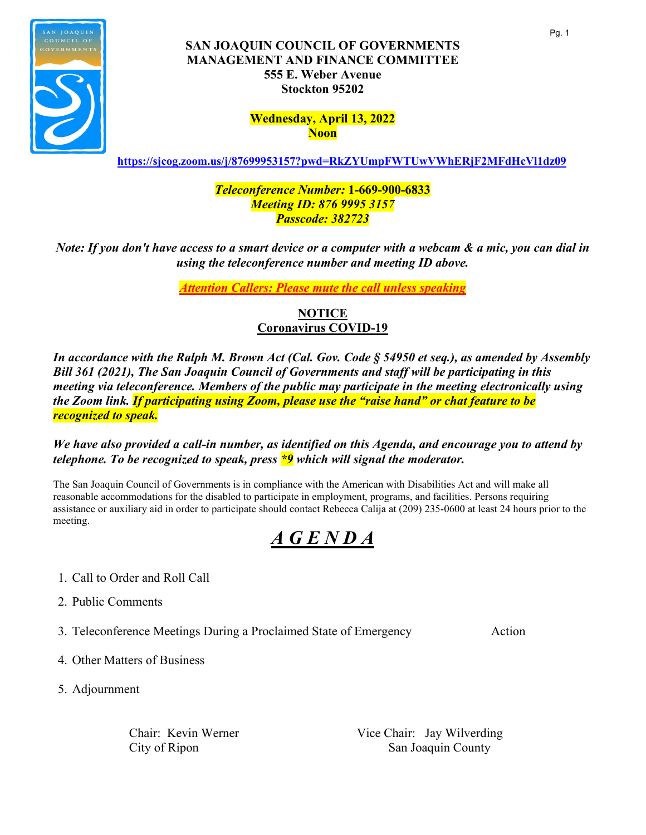

## **SAN JOAQUIN COUNCIL OF GOVERNMENTS MANAGEMENT AND FINANCE COMMITTEE 555 E. Weber Avenue Stockton 95202**

**Wednesday, April 13, 2022 Noon** 

**<https://sjcog.zoom.us/j/87699953157?pwd=RkZYUmpFWTUwVWhERjF2MFdHcVl1dz09>**

## *Teleconference Number:* **1-669-900-6833** *Meeting ID: 876 9995 3157 Passcode: 382723*

*Note: If you don't have access to a smart device or a computer with a webcam & a mic, you can dial in using the teleconference number and meeting ID above.*

*Attention Callers: Please mute the call unless speaking*

## **NOTICE Coronavirus COVID-19**

*In accordance with the Ralph M. Brown Act (Cal. Gov. Code § 54950 et seq.), as amended by Assembly Bill 361 (2021), The San Joaquin Council of Governments and staff will be participating in this meeting via teleconference. Members of the public may participate in the meeting electronically using the Zoom link. If participating using Zoom, please use the "raise hand" or chat feature to be recognized to speak.* 

#### *We have also provided a call-in number, as identified on this Agenda, and encourage you to attend by telephone. To be recognized to speak, press \*9 which will signal the moderator.*

The San Joaquin Council of Governments is in compliance with the American with Disabilities Act and will make all reasonable accommodations for the disabled to participate in employment, programs, and facilities. Persons requiring assistance or auxiliary aid in order to participate should contact Rebecca Calija at (209) 235-0600 at least 24 hours prior to the meeting.

# *A G E N D A*

- 1. Call to Order and Roll Call
- 2. Public Comments
- 3. Teleconference Meetings During a Proclaimed State of Emergency Action

- 4. Other Matters of Business
- 5. Adjournment

Chair: Kevin Werner Vice Chair: Jay Wilverding City of Ripon San Joaquin County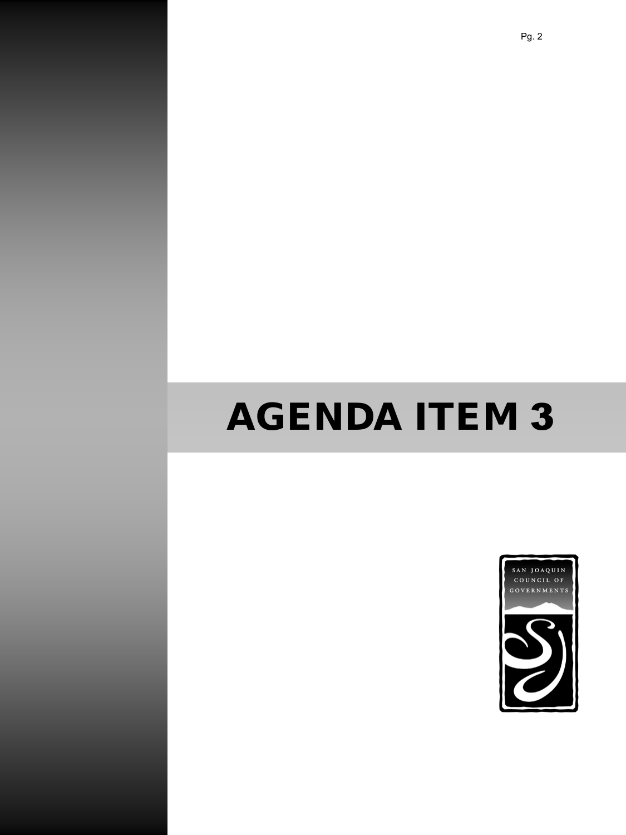# AGENDA ITEM 3

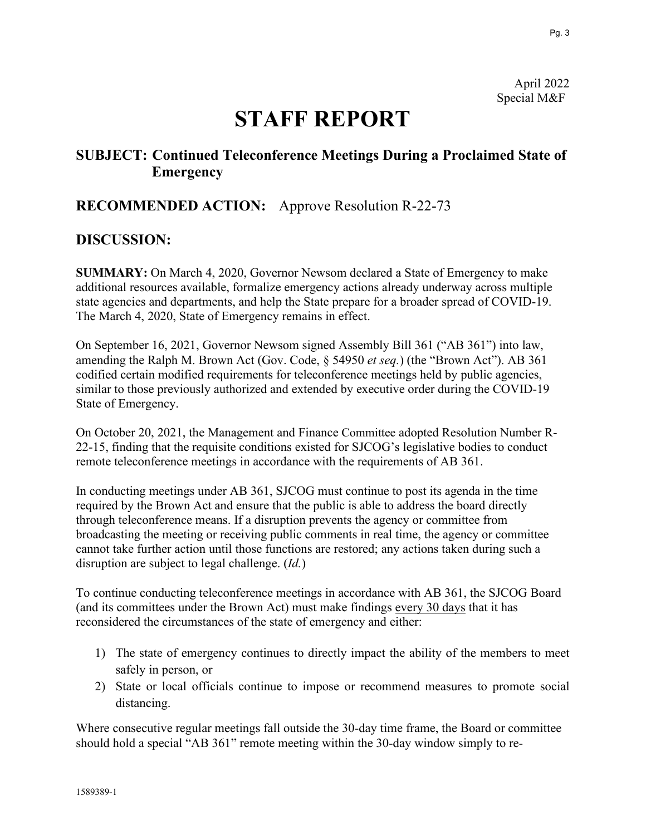Pg. 3

# **STAFF REPORT**

# **SUBJECT: Continued Teleconference Meetings During a Proclaimed State of Emergency**

# **RECOMMENDED ACTION:** Approve Resolution R-22-73

# **DISCUSSION:**

**SUMMARY:** On March 4, 2020, Governor Newsom declared a State of Emergency to make additional resources available, formalize emergency actions already underway across multiple state agencies and departments, and help the State prepare for a broader spread of COVID-19. The March 4, 2020, State of Emergency remains in effect.

On September 16, 2021, Governor Newsom signed Assembly Bill 361 ("AB 361") into law, amending the Ralph M. Brown Act (Gov. Code, § 54950 *et seq.*) (the "Brown Act"). AB 361 codified certain modified requirements for teleconference meetings held by public agencies, similar to those previously authorized and extended by executive order during the COVID-19 State of Emergency.

On October 20, 2021, the Management and Finance Committee adopted Resolution Number R-22-15, finding that the requisite conditions existed for SJCOG's legislative bodies to conduct remote teleconference meetings in accordance with the requirements of AB 361.

In conducting meetings under AB 361, SJCOG must continue to post its agenda in the time required by the Brown Act and ensure that the public is able to address the board directly through teleconference means. If a disruption prevents the agency or committee from broadcasting the meeting or receiving public comments in real time, the agency or committee cannot take further action until those functions are restored; any actions taken during such a disruption are subject to legal challenge. (*Id.*)

To continue conducting teleconference meetings in accordance with AB 361, the SJCOG Board (and its committees under the Brown Act) must make findings every 30 days that it has reconsidered the circumstances of the state of emergency and either:

- 1) The state of emergency continues to directly impact the ability of the members to meet safely in person, or
- 2) State or local officials continue to impose or recommend measures to promote social distancing.

Where consecutive regular meetings fall outside the 30-day time frame, the Board or committee should hold a special "AB 361" remote meeting within the 30-day window simply to re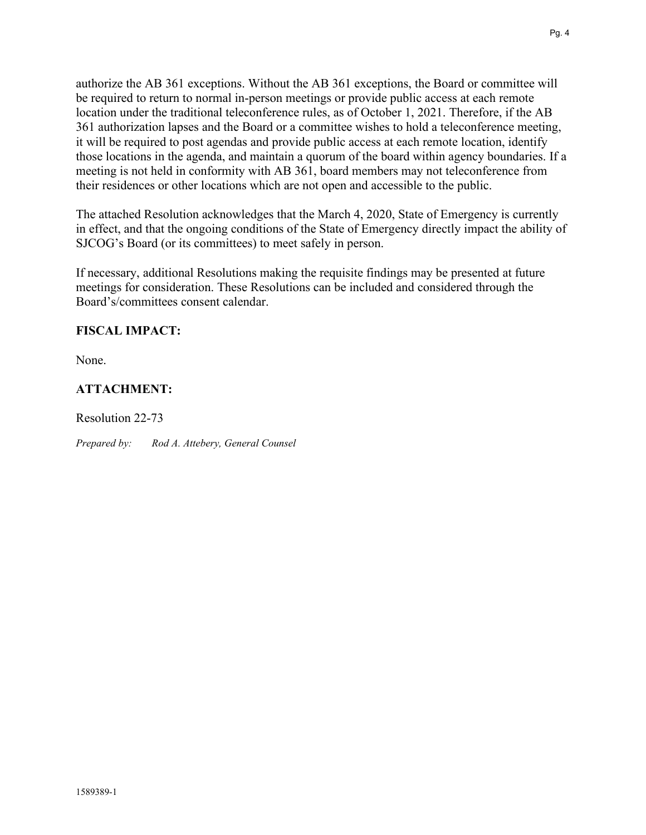authorize the AB 361 exceptions. Without the AB 361 exceptions, the Board or committee will be required to return to normal in-person meetings or provide public access at each remote location under the traditional teleconference rules, as of October 1, 2021. Therefore, if the AB 361 authorization lapses and the Board or a committee wishes to hold a teleconference meeting, it will be required to post agendas and provide public access at each remote location, identify those locations in the agenda, and maintain a quorum of the board within agency boundaries. If a meeting is not held in conformity with AB 361, board members may not teleconference from their residences or other locations which are not open and accessible to the public.

The attached Resolution acknowledges that the March 4, 2020, State of Emergency is currently in effect, and that the ongoing conditions of the State of Emergency directly impact the ability of SJCOG's Board (or its committees) to meet safely in person.

If necessary, additional Resolutions making the requisite findings may be presented at future meetings for consideration. These Resolutions can be included and considered through the Board's/committees consent calendar.

## **FISCAL IMPACT:**

None.

# **ATTACHMENT:**

Resolution 22-73

*Prepared by: Rod A. Attebery, General Counsel*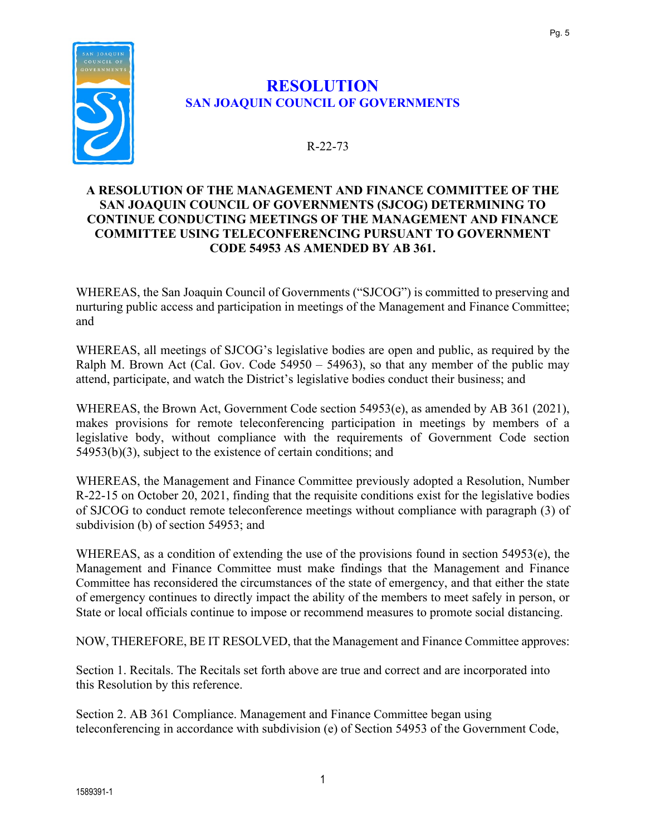

# **RESOLUTION SAN JOAQUIN COUNCIL OF GOVERNMENTS**

# R-22-73

## **A RESOLUTION OF THE MANAGEMENT AND FINANCE COMMITTEE OF THE SAN JOAQUIN COUNCIL OF GOVERNMENTS (SJCOG) DETERMINING TO CONTINUE CONDUCTING MEETINGS OF THE MANAGEMENT AND FINANCE COMMITTEE USING TELECONFERENCING PURSUANT TO GOVERNMENT CODE 54953 AS AMENDED BY AB 361.**

WHEREAS, the San Joaquin Council of Governments ("SJCOG") is committed to preserving and nurturing public access and participation in meetings of the Management and Finance Committee; and

WHEREAS, all meetings of SJCOG's legislative bodies are open and public, as required by the Ralph M. Brown Act (Cal. Gov. Code 54950 – 54963), so that any member of the public may attend, participate, and watch the District's legislative bodies conduct their business; and

WHEREAS, the Brown Act, Government Code section 54953(e), as amended by AB 361 (2021), makes provisions for remote teleconferencing participation in meetings by members of a legislative body, without compliance with the requirements of Government Code section 54953(b)(3), subject to the existence of certain conditions; and

WHEREAS, the Management and Finance Committee previously adopted a Resolution, Number R-22-15 on October 20, 2021, finding that the requisite conditions exist for the legislative bodies of SJCOG to conduct remote teleconference meetings without compliance with paragraph (3) of subdivision (b) of section 54953; and

WHEREAS, as a condition of extending the use of the provisions found in section 54953(e), the Management and Finance Committee must make findings that the Management and Finance Committee has reconsidered the circumstances of the state of emergency, and that either the state of emergency continues to directly impact the ability of the members to meet safely in person, or State or local officials continue to impose or recommend measures to promote social distancing.

NOW, THEREFORE, BE IT RESOLVED, that the Management and Finance Committee approves:

Section 1. Recitals. The Recitals set forth above are true and correct and are incorporated into this Resolution by this reference.

Section 2. AB 361 Compliance. Management and Finance Committee began using teleconferencing in accordance with subdivision (e) of Section 54953 of the Government Code,

Pg. 5